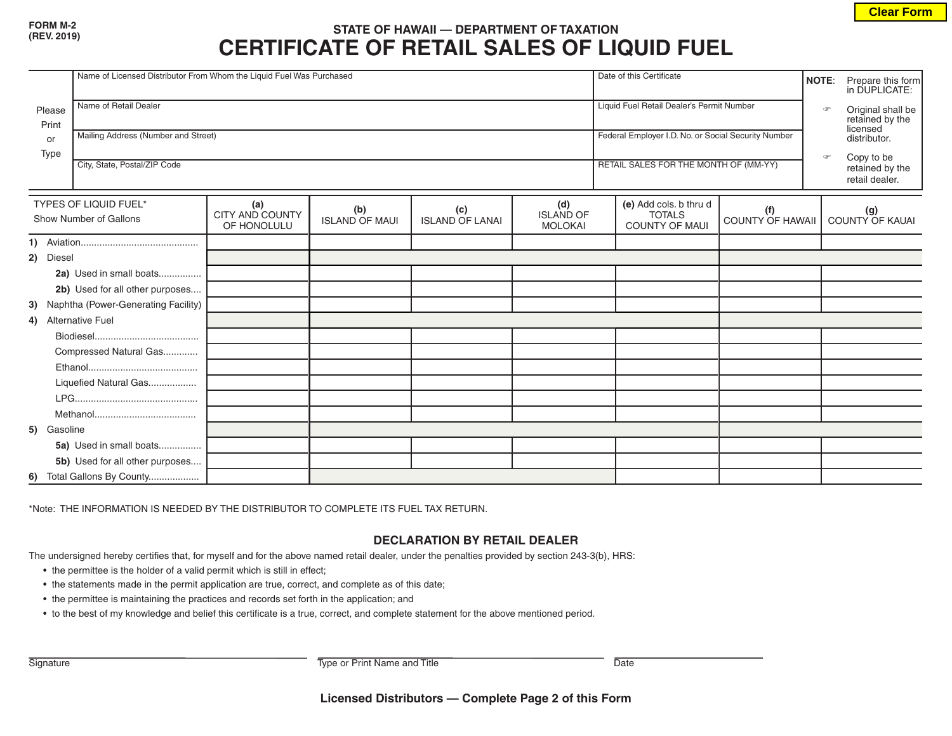## **FORM M-2**

## **(REV. 2019) STATE OF HAWAII — DEPARTMENT OF TAXATION CERTIFICATE OF RETAIL SALES OF LIQUID FUEL**

|                                                 | Name of Licensed Distributor From Whom the Liquid Fuel Was Purchased |                                              |                              |                        |                                           |  | Date of this Certificate                                         |                         |  | Prepare this form<br><b>NOTE:</b><br>in DUPLICATE:         |
|-------------------------------------------------|----------------------------------------------------------------------|----------------------------------------------|------------------------------|------------------------|-------------------------------------------|--|------------------------------------------------------------------|-------------------------|--|------------------------------------------------------------|
| Please<br>Print                                 | Name of Retail Dealer                                                |                                              |                              |                        |                                           |  | Liquid Fuel Retail Dealer's Permit Number                        |                         |  | Original shall be<br>retained by the<br>$\sigma$           |
| or<br>Type                                      | Mailing Address (Number and Street)                                  |                                              |                              |                        |                                           |  | Federal Employer I.D. No. or Social Security Number              |                         |  | licensed<br>distributor.                                   |
|                                                 | City, State, Postal/ZIP Code                                         |                                              |                              |                        |                                           |  | RETAIL SALES FOR THE MONTH OF (MM-YY)                            |                         |  | Copy to be<br>$\circ$<br>retained by the<br>retail dealer. |
| TYPES OF LIQUID FUEL*<br>Show Number of Gallons |                                                                      | (a)<br><b>CITY AND COUNTY</b><br>OF HONOLULU | (b)<br><b>ISLAND OF MAUI</b> | (c)<br>ISLAND OF LANAI | (d)<br><b>ISLAND OF</b><br><b>MOLOKAI</b> |  | (e) Add cols. b thru d<br><b>TOTALS</b><br><b>COUNTY OF MAUI</b> | (f)<br>COUNTY OF HAWAII |  | (g)<br>COUNTY OF KAUAI                                     |
| 1)                                              |                                                                      |                                              |                              |                        |                                           |  |                                                                  |                         |  |                                                            |
| 2)<br>Diesel                                    |                                                                      |                                              |                              |                        |                                           |  |                                                                  |                         |  |                                                            |
|                                                 | 2a) Used in small boats                                              |                                              |                              |                        |                                           |  |                                                                  |                         |  |                                                            |
|                                                 | 2b) Used for all other purposes                                      |                                              |                              |                        |                                           |  |                                                                  |                         |  |                                                            |
| 3) Naphtha (Power-Generating Facility)          |                                                                      |                                              |                              |                        |                                           |  |                                                                  |                         |  |                                                            |
| 4) Alternative Fuel                             |                                                                      |                                              |                              |                        |                                           |  |                                                                  |                         |  |                                                            |
|                                                 |                                                                      |                                              |                              |                        |                                           |  |                                                                  |                         |  |                                                            |
|                                                 | Compressed Natural Gas                                               |                                              |                              |                        |                                           |  |                                                                  |                         |  |                                                            |
|                                                 |                                                                      |                                              |                              |                        |                                           |  |                                                                  |                         |  |                                                            |
|                                                 | Liquefied Natural Gas                                                |                                              |                              |                        |                                           |  |                                                                  |                         |  |                                                            |
|                                                 |                                                                      |                                              |                              |                        |                                           |  |                                                                  |                         |  |                                                            |
|                                                 |                                                                      |                                              |                              |                        |                                           |  |                                                                  |                         |  |                                                            |
| 5) Gasoline                                     |                                                                      |                                              |                              |                        |                                           |  |                                                                  |                         |  |                                                            |
|                                                 | 5a) Used in small boats                                              |                                              |                              |                        |                                           |  |                                                                  |                         |  |                                                            |
|                                                 | 5b) Used for all other purposes                                      |                                              |                              |                        |                                           |  |                                                                  |                         |  |                                                            |
|                                                 | 6) Total Gallons By County                                           |                                              |                              |                        |                                           |  |                                                                  |                         |  |                                                            |

\*Note: THE INFORMATION IS NEEDED BY THE DISTRIBUTOR TO COMPLETE ITS FUEL TAX RETURN.

## **DECLARATION BY RETAIL DEALER**

The undersigned hereby certifies that, for myself and for the above named retail dealer, under the penalties provided by section 243-3(b), HRS:

- the permittee is the holder of a valid permit which is still in effect;
- the statements made in the permit application are true, correct, and complete as of this date;
- the permittee is maintaining the practices and records set forth in the application; and
- to the best of my knowledge and belief this certificate is a true, correct, and complete statement for the above mentioned period.

Signature **Type or Print Name and Title** Date Date Date

**Clear Form**